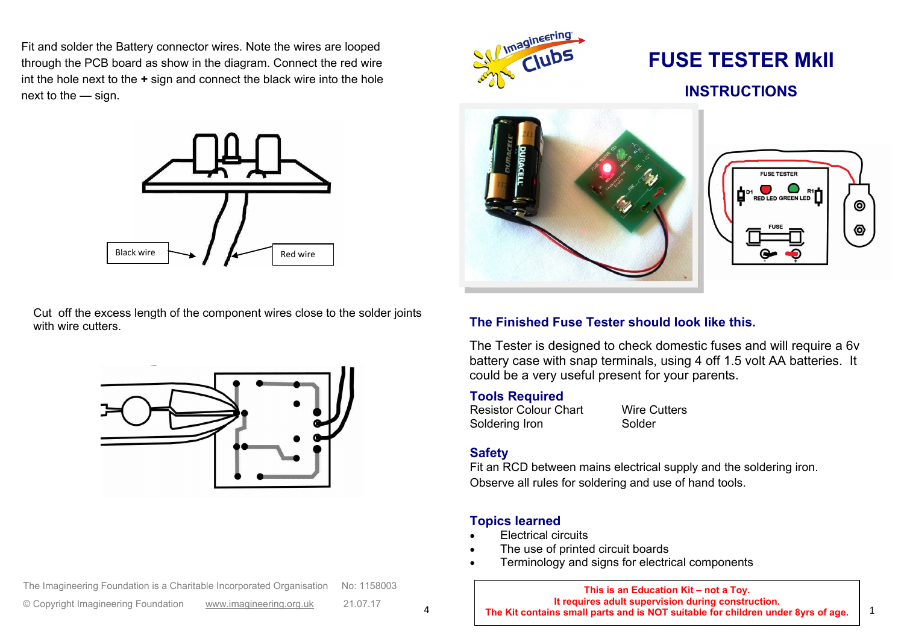Fit and solder the Battery connector wires. Note the wires are looped through the PCB board as show in the diagram. Connect the red wire int the hole next to the **+** sign and connect the black wire into the hole next to the **—** sign.



Cut off the excess length of the component wires close to the solder joints with wire cutters.



The Imagineering Foundation is a Charitable Incorporated Organisation No: 1158003



# **FUSE TESTER MkII INSTRUCTIONS**



#### **The Finished Fuse Tester should look like this.**

The Tester is designed to check domestic fuses and will require a 6y battery case with snap terminals, using 4 off 1.5 volt AA batteries. It could be a very useful present for your parents.

#### **Tools Required**

Resistor Colour Chart Wire Cutters Soldering Iron Solder

#### **Safety**

Fit an RCD between mains electrical supply and the soldering iron. Observe all rules for soldering and use of hand tools.

#### **Topics learned**

- Electrical circuits
- The use of printed circuit boards
- Terminology and signs for electrical components

| The Imagineering Foundation is a Charitable Incorporated Organisation No: 1158003 |                         |          | This is an Education Kit - not a Toy.                                                                                                  |  |
|-----------------------------------------------------------------------------------|-------------------------|----------|----------------------------------------------------------------------------------------------------------------------------------------|--|
| © Copyright Imagineering Foundation                                               | www.imagineering.org.uk | 21.07.17 | It requires adult supervision during construction.<br>The Kit contains small parts and is NOT suitable for children under 8yrs of age. |  |

⊚